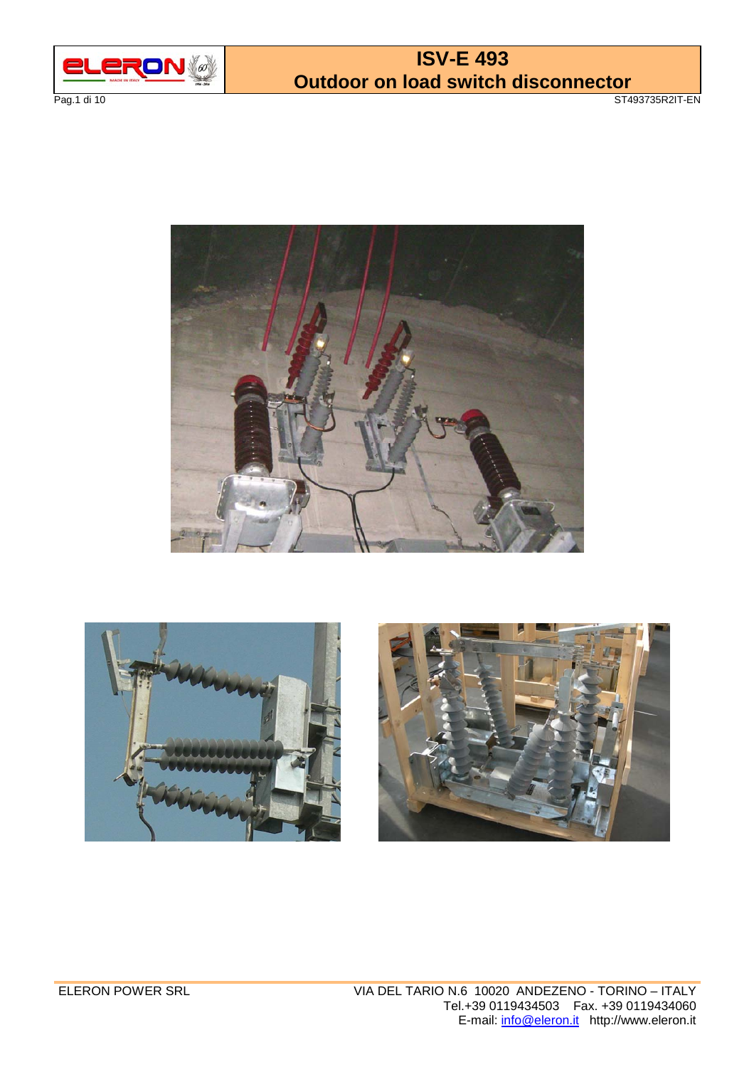

**ISV-E 493 Outdoor on load switch disconnector**  Pag.1 di 10 ST493735R2IT-EN





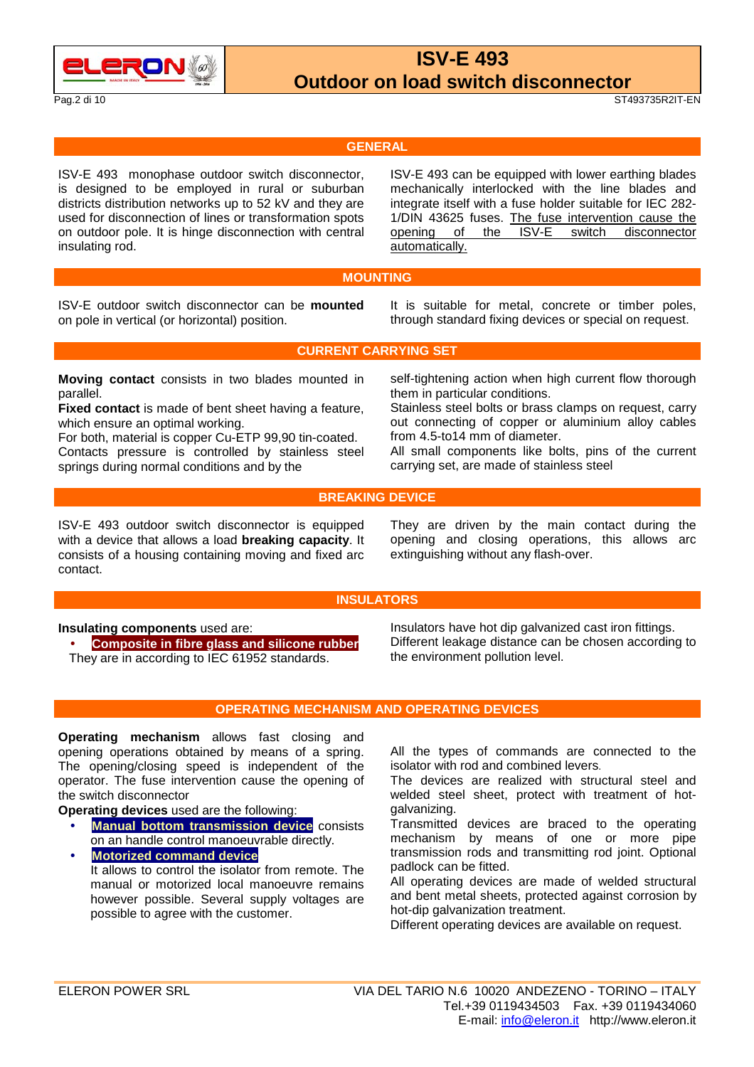

Pag.2 di 10 ST493735R2IT-EN

#### **GENERAL**

ISV-E 493 monophase outdoor switch disconnector, is designed to be employed in rural or suburban districts distribution networks up to 52 kV and they are used for disconnection of lines or transformation spots on outdoor pole. It is hinge disconnection with central insulating rod.

 ISV-E 493 can be equipped with lower earthing blades mechanically interlocked with the line blades and integrate itself with a fuse holder suitable for IEC 282- 1/DIN 43625 fuses. The fuse intervention cause the opening of the ISV-E switch disconnector automatically.

#### **MOUNTING**

ISV-E outdoor switch disconnector can be **mounted** on pole in vertical (or horizontal) position.

 It is suitable for metal, concrete or timber poles, through standard fixing devices or special on request.

**CURRENT CARRYING SET** 

**Moving contact** consists in two blades mounted in parallel.

**Fixed contact** is made of bent sheet having a feature, which ensure an optimal working.

For both, material is copper Cu-ETP 99,90 tin-coated. Contacts pressure is controlled by stainless steel springs during normal conditions and by the

 self-tightening action when high current flow thorough them in particular conditions.

Stainless steel bolts or brass clamps on request, carry out connecting of copper or aluminium alloy cables from 4.5-to14 mm of diameter.

All small components like bolts, pins of the current carrying set, are made of stainless steel

#### **BREAKING DEVICE**

ISV-E 493 outdoor switch disconnector is equipped with a device that allows a load **breaking capacity**. It consists of a housing containing moving and fixed arc contact.

 They are driven by the main contact during the opening and closing operations, this allows arc extinguishing without any flash-over.

#### **INSULATORS**

**Insulating components** used are:

• **Composite in fibre glass and silicone rubber** They are in according to IEC 61952 standards.

Insulators have hot dip galvanized cast iron fittings. Different leakage distance can be chosen according to the environment pollution level.

#### **OPERATING MECHANISM AND OPERATING DEVICES**

**Operating mechanism** allows fast closing and opening operations obtained by means of a spring. The opening/closing speed is independent of the operator. The fuse intervention cause the opening of the switch disconnector

**Operating devices** used are the following:

- **Manual bottom transmission device** consists on an handle control manoeuvrable directly.
- **Motorized command device** It allows to control the isolator from remote. The manual or motorized local manoeuvre remains however possible. Several supply voltages are possible to agree with the customer.

All the types of commands are connected to the isolator with rod and combined levers.

The devices are realized with structural steel and welded steel sheet, protect with treatment of hotgalvanizing.

Transmitted devices are braced to the operating mechanism by means of one or more pipe transmission rods and transmitting rod joint. Optional padlock can be fitted.

All operating devices are made of welded structural and bent metal sheets, protected against corrosion by hot-dip galvanization treatment.

Different operating devices are available on request.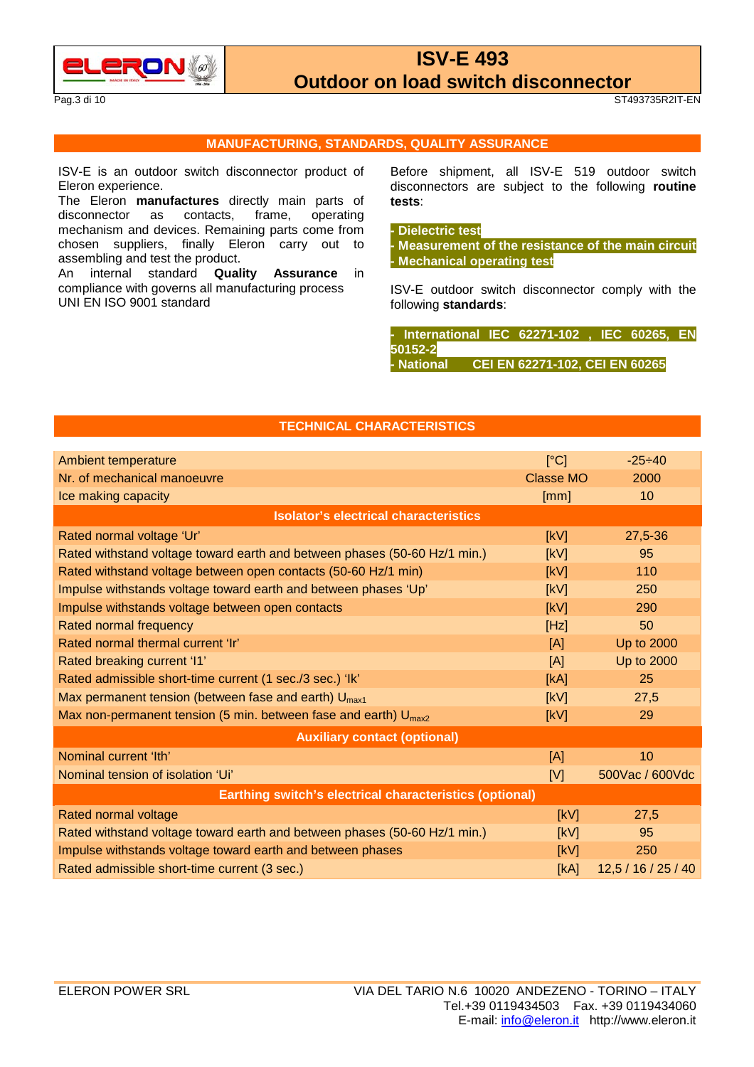

Pag.3 di 10 ST493735R2IT-EN

#### **MANUFACTURING, STANDARDS, QUALITY ASSURANCE**

ISV-E is an outdoor switch disconnector product of Eleron experience.

The Eleron **manufactures** directly main parts of disconnector as contacts, frame, operating mechanism and devices. Remaining parts come from chosen suppliers, finally Eleron carry out to assembling and test the product.

An internal standard **Quality Assurance** in compliance with governs all manufacturing process UNI EN ISO 9001 standard

 Before shipment, all ISV-E 519 outdoor switch disconnectors are subject to the following **routine tests**:

#### **- Dielectric test**

**- Measurement of the resistance of the main circuit - Mechanical operating test**

ISV-E outdoor switch disconnector comply with the following **standards**:

**- International IEC 62271-102 , IEC 60265, EN 50152-2 - National CEI EN 62271-102, CEI EN 60265**

### **TECHNICAL CHARACTERISTICS**

| Ambient temperature                                                       | [°C]             | $-25 - 40$          |  |
|---------------------------------------------------------------------------|------------------|---------------------|--|
| Nr. of mechanical manoeuvre                                               | <b>Classe MO</b> | 2000                |  |
| Ice making capacity                                                       | [mm]             | 10                  |  |
| <b>Isolator's electrical characteristics</b>                              |                  |                     |  |
| Rated normal voltage 'Ur'                                                 | [kV]             | 27,5-36             |  |
| Rated withstand voltage toward earth and between phases (50-60 Hz/1 min.) | [kV]             | 95                  |  |
| Rated withstand voltage between open contacts (50-60 Hz/1 min)            | [kV]             | 110                 |  |
| Impulse withstands voltage toward earth and between phases 'Up'           | [KV]             | 250                 |  |
| Impulse withstands voltage between open contacts                          | [kV]             | 290                 |  |
| Rated normal frequency                                                    | [Hz]             | 50                  |  |
| Rated normal thermal current 'Ir'                                         | [A]              | Up to 2000          |  |
| Rated breaking current 'I1'                                               | [A]              | Up to 2000          |  |
| Rated admissible short-time current (1 sec./3 sec.) 'lk'                  | [kA]             | 25                  |  |
| Max permanent tension (between fase and earth) U <sub>max1</sub>          | [kV]             | 27,5                |  |
| Max non-permanent tension (5 min. between fase and earth) $U_{max2}$      | [KV]             | 29                  |  |
| <b>Auxiliary contact (optional)</b>                                       |                  |                     |  |
| Nominal current 'Ith'                                                     | [A]              | 10                  |  |
| Nominal tension of isolation 'Ui'                                         | [V]              | 500Vac / 600Vdc     |  |
| Earthing switch's electrical characteristics (optional)                   |                  |                     |  |
| Rated normal voltage                                                      | [kV]             | 27,5                |  |
| Rated withstand voltage toward earth and between phases (50-60 Hz/1 min.) | [KV]             | 95                  |  |
| Impulse withstands voltage toward earth and between phases                | [kV]             | 250                 |  |
| Rated admissible short-time current (3 sec.)                              | [kA]             | 12,5 / 16 / 25 / 40 |  |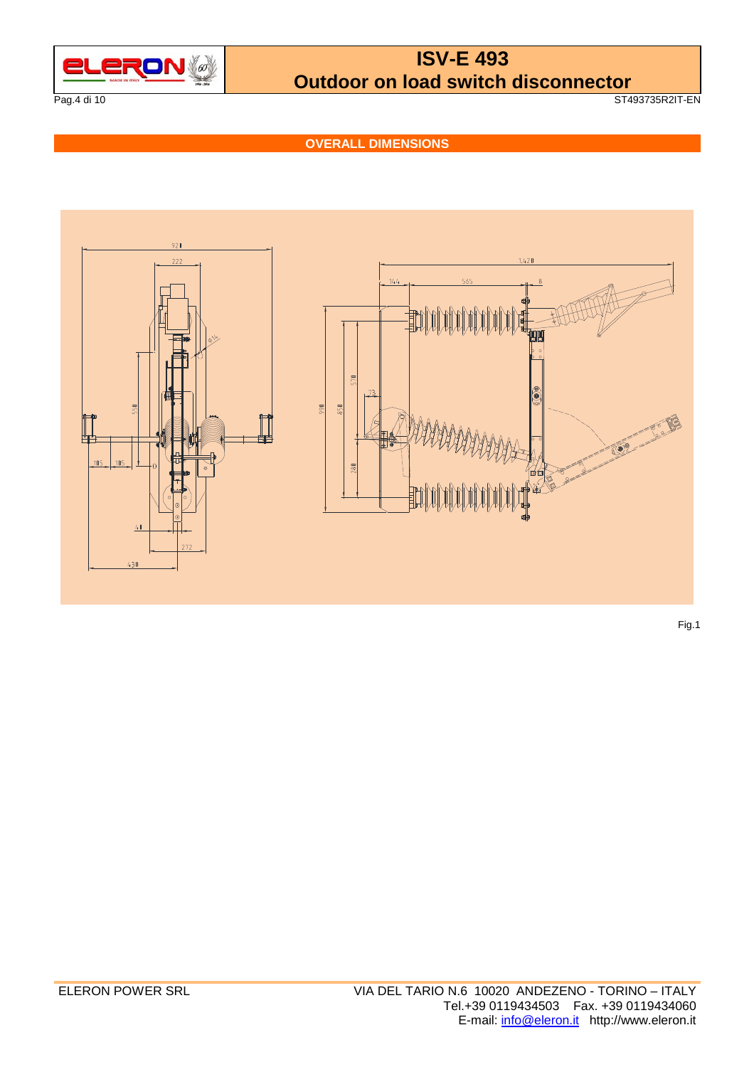

Pag.4 di 10 ST493735R2IT-EN

**OVERALL DIMENSIONS** 



Fig.1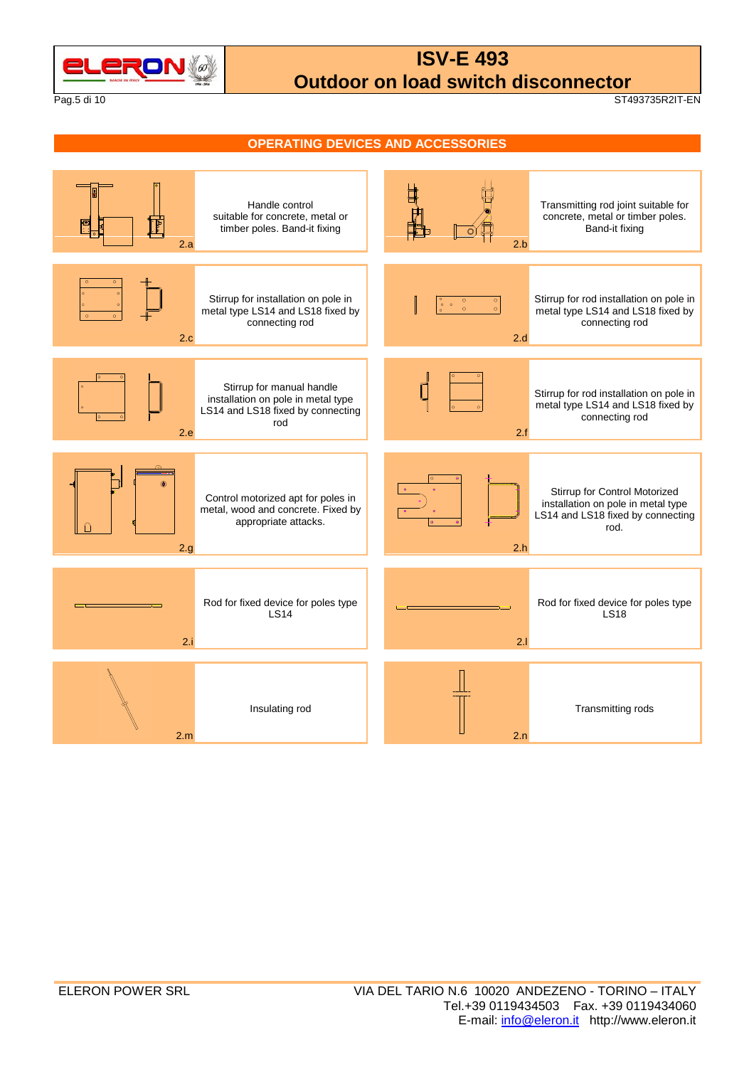

Pag.5 di 10 ST493735R2IT-EN

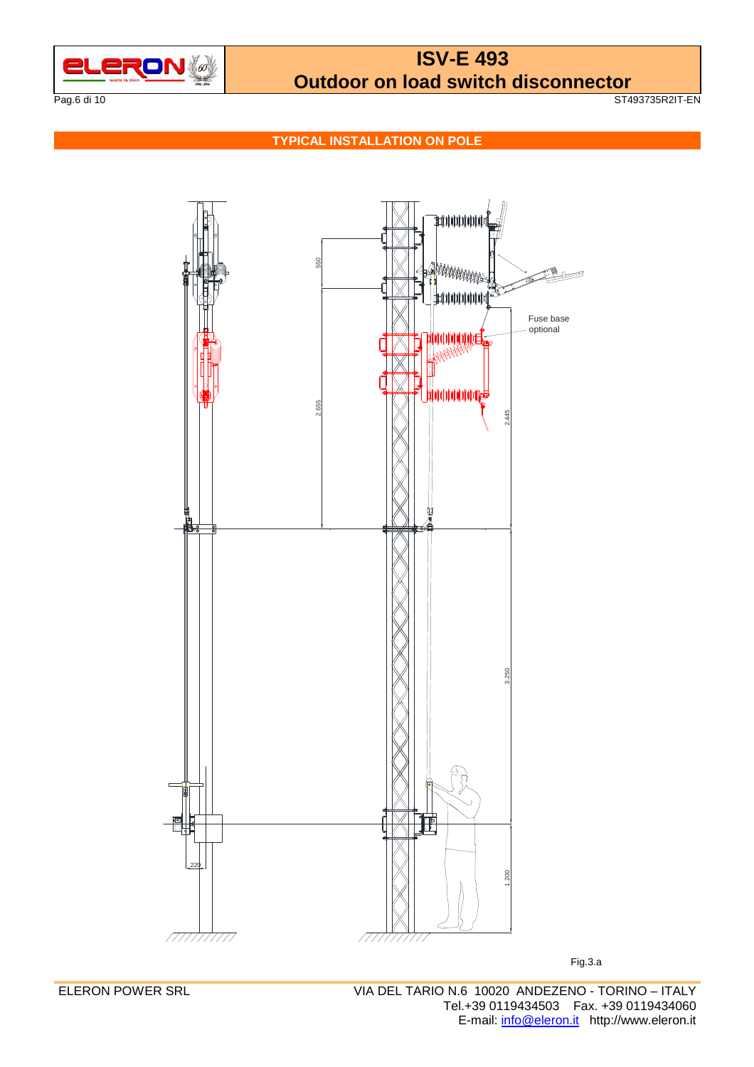

Pag.6 di 10 ST493735R2IT-EN

**TYPICAL INSTALLATION ON POLE** 



Fig.3.a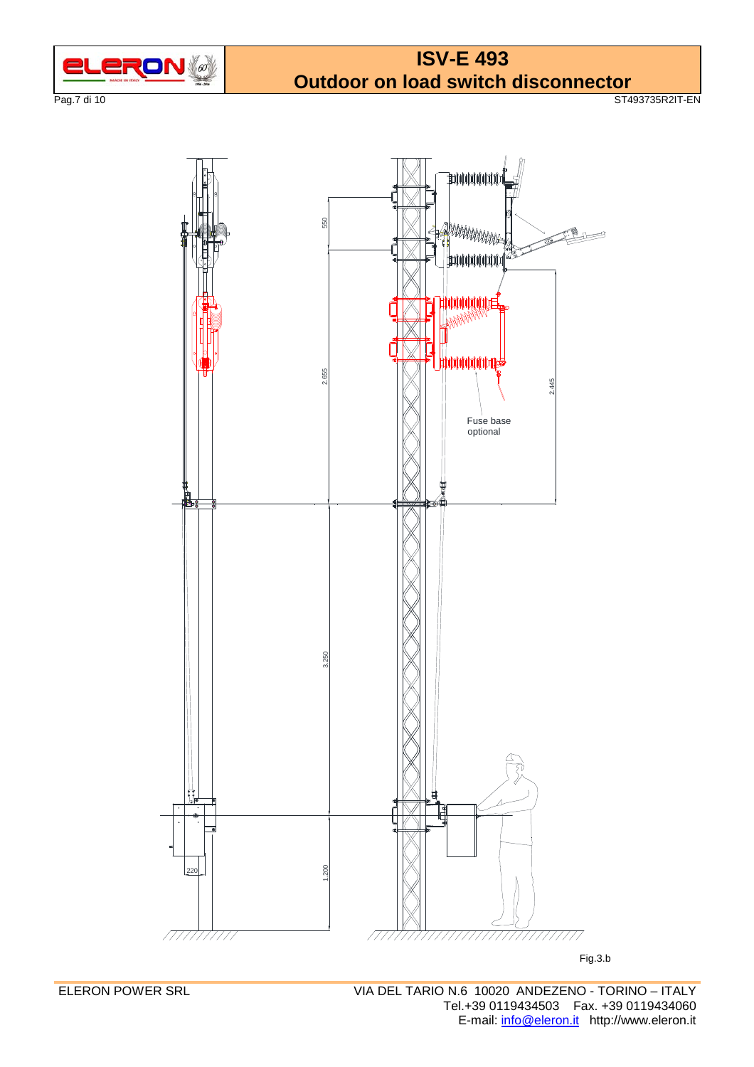

Pag.7 di 10 ST493735R2IT-EN

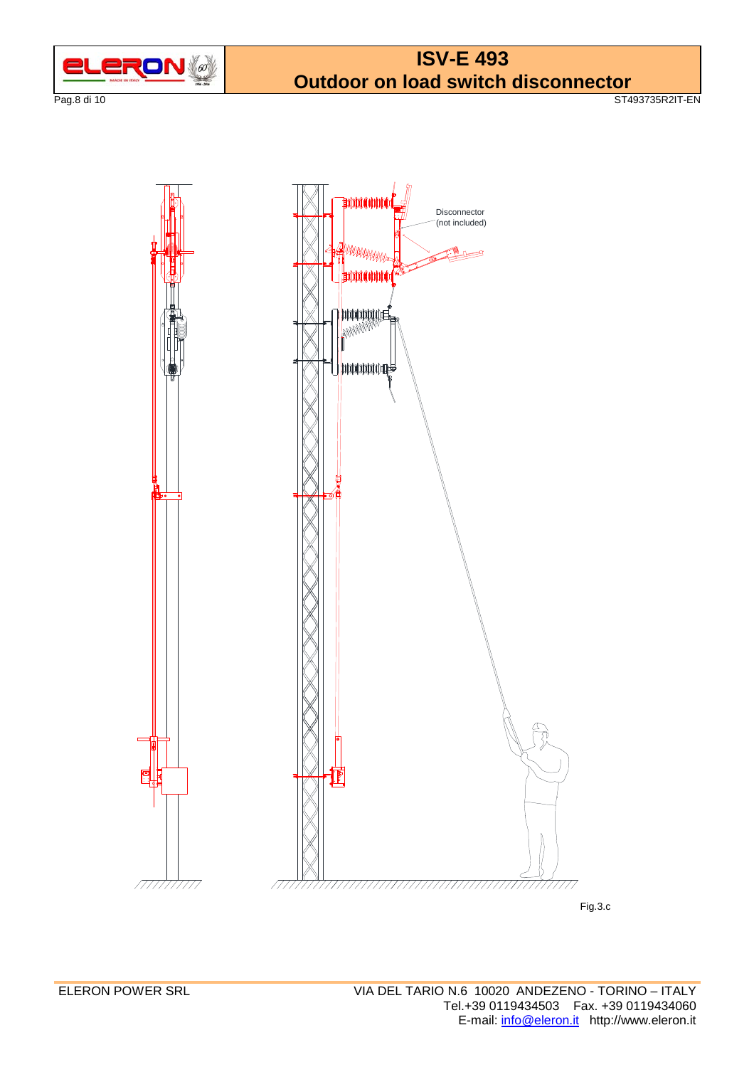

Pag.8 di 10 ST493735R2IT-EN



Fig.3.c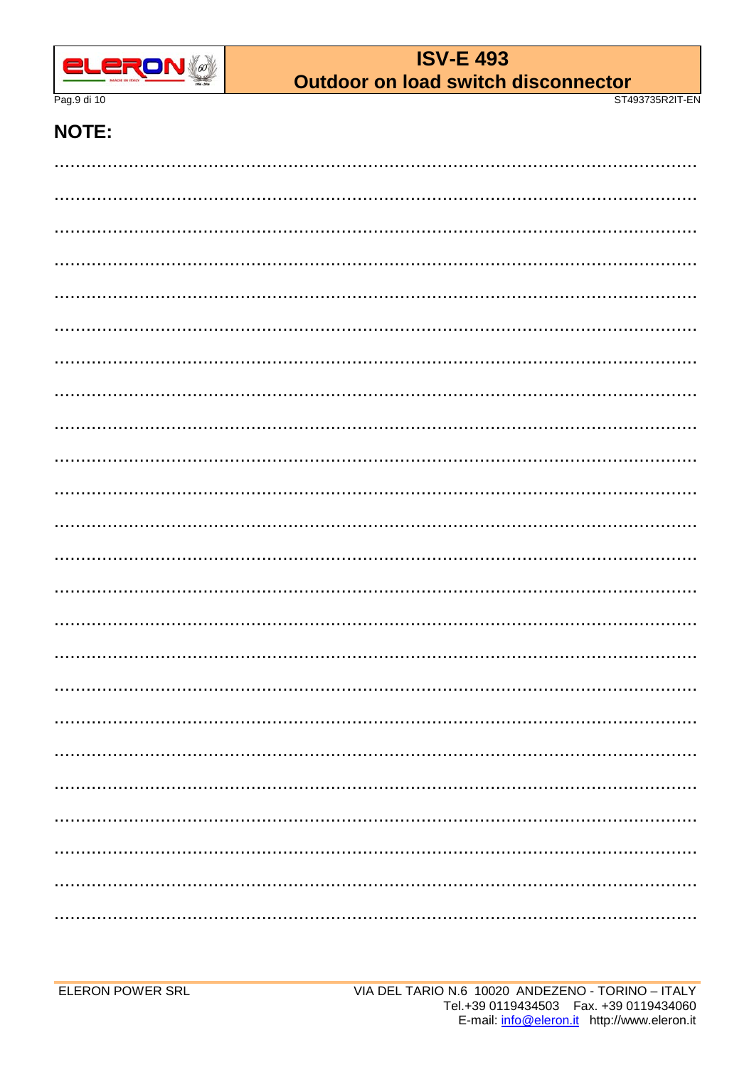

Pag.9 di 10

ST493735R2IT-EN

### **NOTE:**